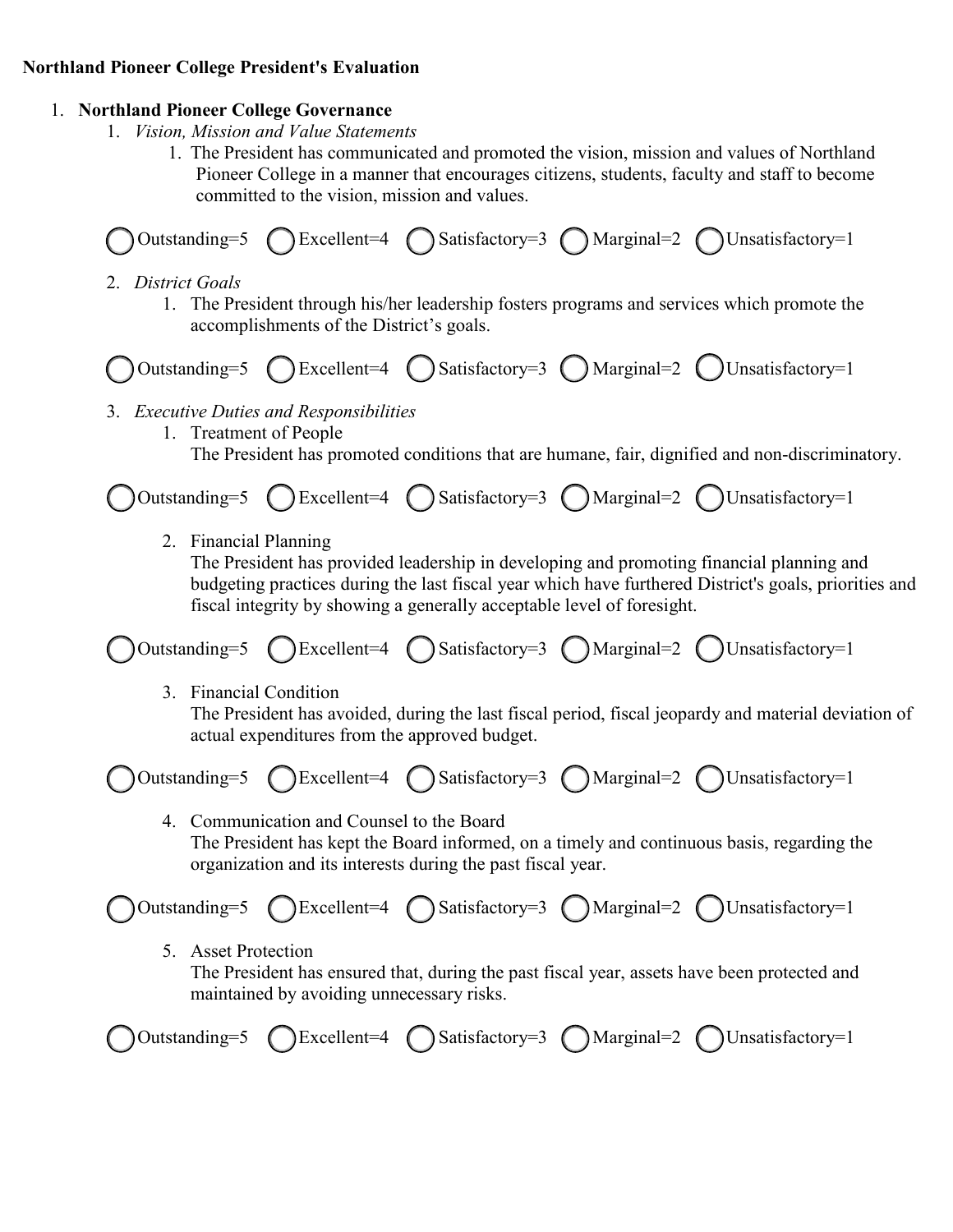## **Northland Pioneer College President's Evaluation**

## 1. **Northland Pioneer College Governance**

- 1. *Vision, Mission and Value Statements*
	- 1. The President has communicated and promoted the vision, mission and values of Northland Pioneer College in a manner that encourages citizens, students, faculty and staff to become committed to the vision, mission and values.



- 2. *District Goals*
	- 1. The President through his/her leadership fosters programs and services which promote the accomplishments of the District's goals.



- 3. *Executive Duties and Responsibilities*
	- 1. Treatment of People

The President has promoted conditions that are humane, fair, dignified and non-discriminatory.

 $( )$ Outstanding=5 ( ) Excellent=4 ( ) Satisfactory=3 ( ) Marginal=2 ( ) Unsatisfactory=1

2. Financial Planning

The President has provided leadership in developing and promoting financial planning and budgeting practices during the last fiscal year which have furthered District's goals, priorities and fiscal integrity by showing a generally acceptable level of foresight.

( ) Outstanding=5 ( ) Excellent=4 ( ) Satisfactory=3 ( ) Marginal=2 ( ) Unsatisfactory=1

3. Financial Condition

The President has avoided, during the last fiscal period, fiscal jeopardy and material deviation of actual expenditures from the approved budget.



4. Communication and Counsel to the Board The President has kept the Board informed, on a timely and continuous basis, regarding the organization and its interests during the past fiscal year.

( ) Outstanding=5 ( ) Excellent=4 ( ) Satisfactory=3 ( ) Marginal=2 ( ) Unsatisfactory=1

5. Asset Protection

The President has ensured that, during the past fiscal year, assets have been protected and maintained by avoiding unnecessary risks.

|  |  |  |  | Outstanding=5 OExcellent=4 OSatisfactory=3 OMarginal=2 OUnsatisfactory=1 |
|--|--|--|--|--------------------------------------------------------------------------|
|--|--|--|--|--------------------------------------------------------------------------|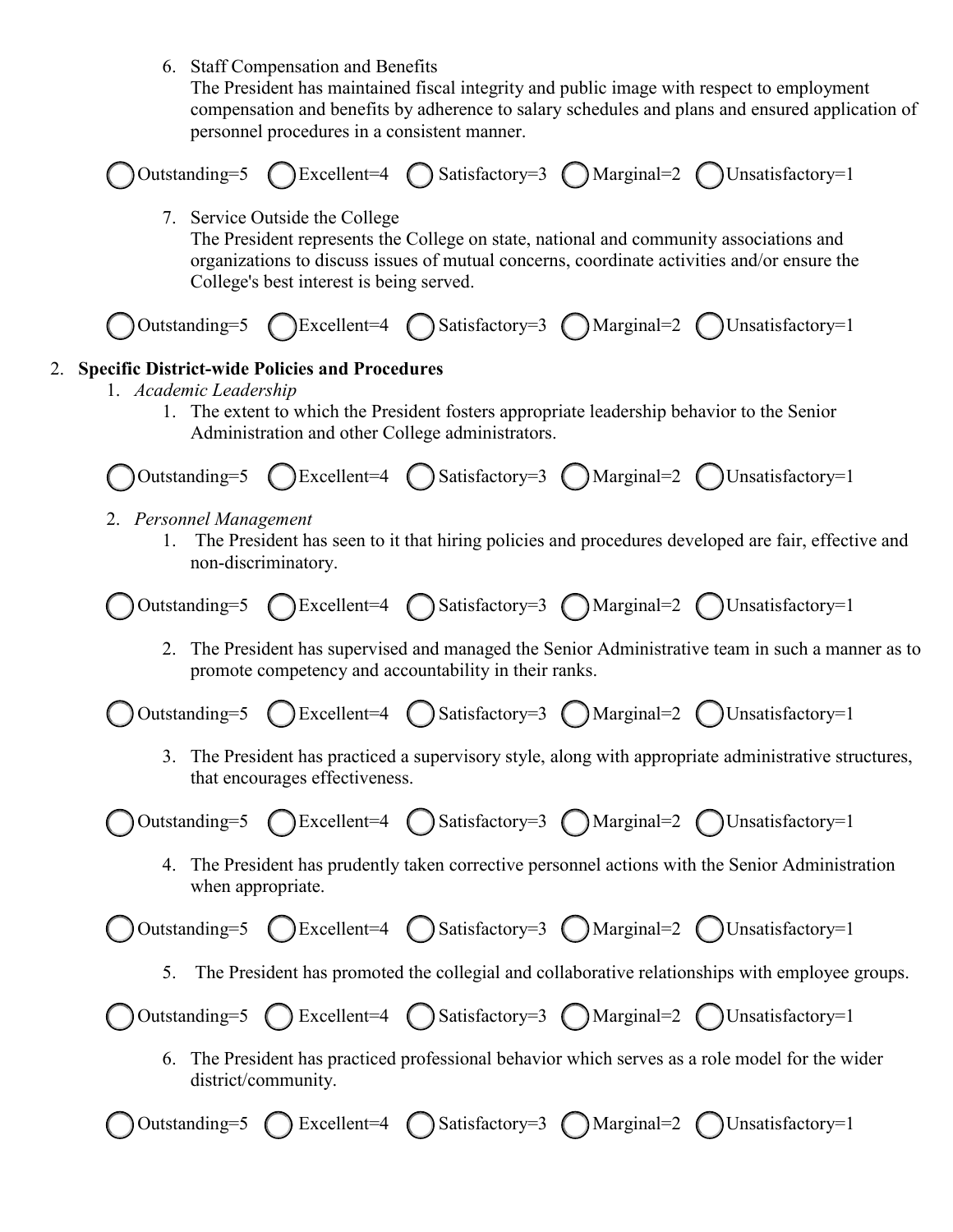6. Staff Compensation and Benefits

The President has maintained fiscal integrity and public image with respect to employment compensation and benefits by adherence to salary schedules and plans and ensured application of personnel procedures in a consistent manner.

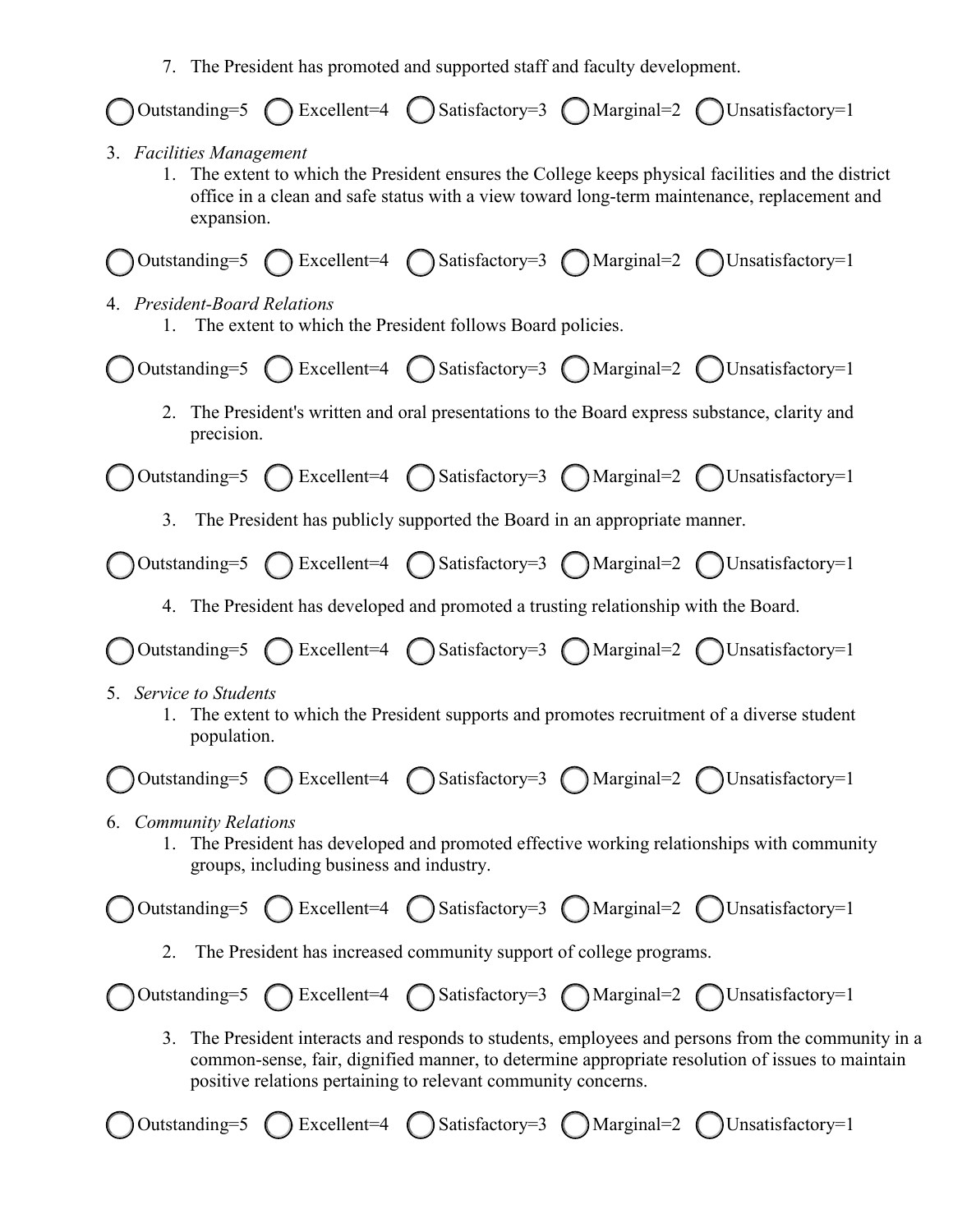7. The President has promoted and supported staff and faculty development.

|                                                                                                                                                                                                                                                                           |  |  |  | ◯ Outstanding=5 ◯ Excellent=4 ◯ Satisfactory=3 ◯ Marginal=2 ◯ Unsatisfactory=1                                                                                                                     |  |  |
|---------------------------------------------------------------------------------------------------------------------------------------------------------------------------------------------------------------------------------------------------------------------------|--|--|--|----------------------------------------------------------------------------------------------------------------------------------------------------------------------------------------------------|--|--|
| 3. Facilities Management<br>expansion.                                                                                                                                                                                                                                    |  |  |  | 1. The extent to which the President ensures the College keeps physical facilities and the district<br>office in a clean and safe status with a view toward long-term maintenance, replacement and |  |  |
|                                                                                                                                                                                                                                                                           |  |  |  | ◯ Outstanding=5 ◯ Excellent=4 ◯ Satisfactory=3 ◯ Marginal=2 ◯ Unsatisfactory=1                                                                                                                     |  |  |
| 4. President-Board Relations<br>The extent to which the President follows Board policies.<br>1.                                                                                                                                                                           |  |  |  |                                                                                                                                                                                                    |  |  |
|                                                                                                                                                                                                                                                                           |  |  |  | ◯ Outstanding=5 ◯ Excellent=4 ◯ Satisfactory=3 ◯ Marginal=2 ◯ Unsatisfactory=1                                                                                                                     |  |  |
| 2.<br>precision.                                                                                                                                                                                                                                                          |  |  |  | The President's written and oral presentations to the Board express substance, clarity and                                                                                                         |  |  |
|                                                                                                                                                                                                                                                                           |  |  |  | ◯ Outstanding=5 ◯ Excellent=4 ◯ Satisfactory=3 ◯ Marginal=2 ◯ Unsatisfactory=1                                                                                                                     |  |  |
| 3. The President has publicly supported the Board in an appropriate manner.                                                                                                                                                                                               |  |  |  |                                                                                                                                                                                                    |  |  |
|                                                                                                                                                                                                                                                                           |  |  |  | Outstanding=5 C Excellent=4 C Satisfactory=3 C Marginal=2 C Unsatisfactory=1                                                                                                                       |  |  |
| 4. The President has developed and promoted a trusting relationship with the Board.                                                                                                                                                                                       |  |  |  |                                                                                                                                                                                                    |  |  |
|                                                                                                                                                                                                                                                                           |  |  |  | ◯ Outstanding=5 ◯ Excellent=4 ◯ Satisfactory=3 ◯ Marginal=2 ◯ Unsatisfactory=1                                                                                                                     |  |  |
| 5. Service to Students<br>The extent to which the President supports and promotes recruitment of a diverse student<br>population.                                                                                                                                         |  |  |  |                                                                                                                                                                                                    |  |  |
|                                                                                                                                                                                                                                                                           |  |  |  | ◯ Outstanding=5 ◯ Excellent=4 ◯ Satisfactory=3 ◯ Marginal=2 ◯ Unsatisfactory=1                                                                                                                     |  |  |
| 6. Community Relations<br>1. The President has developed and promoted effective working relationships with community<br>groups, including business and industry.                                                                                                          |  |  |  |                                                                                                                                                                                                    |  |  |
|                                                                                                                                                                                                                                                                           |  |  |  | $\bigcirc$ Outstanding=5 $\bigcirc$ Excellent=4 $\bigcirc$ Satisfactory=3 $\bigcirc$ Marginal=2 $\bigcirc$ Unsatisfactory=1                                                                        |  |  |
| The President has increased community support of college programs.<br>2.                                                                                                                                                                                                  |  |  |  |                                                                                                                                                                                                    |  |  |
|                                                                                                                                                                                                                                                                           |  |  |  | Outstanding=5 C Excellent=4 C Satisfactory=3 C Marginal=2 C Unsatisfactory=1                                                                                                                       |  |  |
| The President interacts and responds to students, employees and persons from the community in a<br>3.<br>common-sense, fair, dignified manner, to determine appropriate resolution of issues to maintain<br>positive relations pertaining to relevant community concerns. |  |  |  |                                                                                                                                                                                                    |  |  |
|                                                                                                                                                                                                                                                                           |  |  |  | Outstanding=5 ( ) Excellent=4 ( ) Satisfactory=3 ( ) Marginal=2 ( ) Unsatisfactory=1                                                                                                               |  |  |